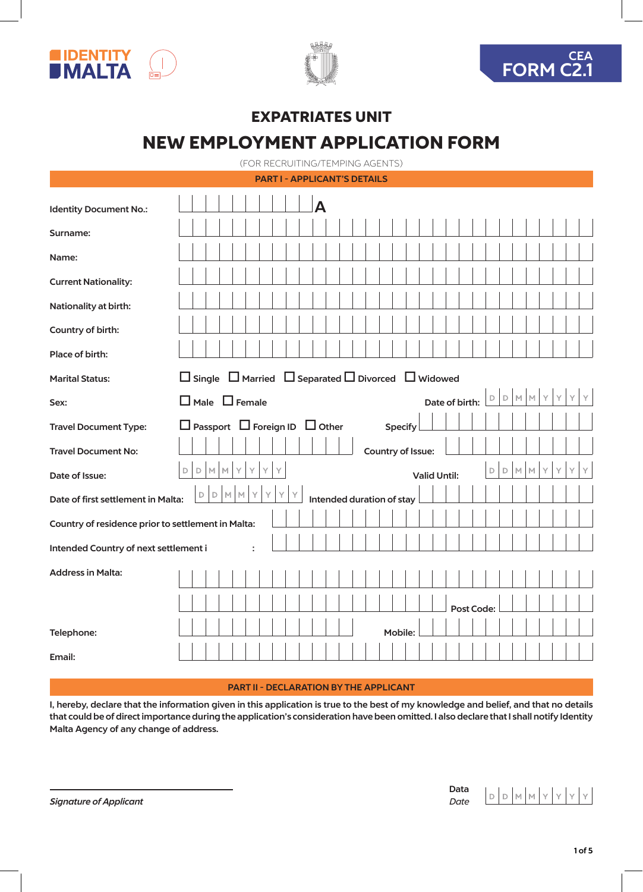





# EXPATRIATES UNIT NEW EMPLOYMENT APPLICATION FORM

(FOR RECRUITING/TEMPING AGENTS)

|                                                    | <b>PART I - APPLICANT'S DETAILS</b>                                                                      |
|----------------------------------------------------|----------------------------------------------------------------------------------------------------------|
| <b>Identity Document No.:</b>                      |                                                                                                          |
| Surname:                                           |                                                                                                          |
| Name:                                              |                                                                                                          |
| <b>Current Nationality:</b>                        |                                                                                                          |
| Nationality at birth:                              |                                                                                                          |
| Country of birth:                                  |                                                                                                          |
| Place of birth:                                    |                                                                                                          |
| <b>Marital Status:</b>                             | $\Box$ Single $\Box$ Married $\Box$ Separated $\Box$ Divorced $\Box$ Widowed                             |
| Sex:                                               | $D$ $D$<br>M<br>Y<br>Y<br>M<br>$\Box$ Male $\Box$ Female<br>Date of birth:                               |
| <b>Travel Document Type:</b>                       | $\Box$ Passport $\Box$ Foreign ID $\Box$ Other<br><b>Specify</b>                                         |
| <b>Travel Document No:</b>                         | Country of Issue:                                                                                        |
| Date of Issue:                                     | $\mathbb D$<br>$\mathbb D$<br>$\mathbb M$<br>$\mathbb M$<br>Υ<br>Ÿ<br>D<br>M<br>D<br><b>Valid Until:</b> |
| Date of first settlement in Malta:                 | $\mathsf D$<br>$\mathbb M$<br>M<br>Υ<br>Υ<br>D<br>Intended duration of stay                              |
| Country of residence prior to settlement in Malta: |                                                                                                          |
| Intended Country of next settlement i              |                                                                                                          |
| <b>Address in Malta:</b>                           |                                                                                                          |
|                                                    | Post Code:                                                                                               |
| Telephone:                                         | Mobile:                                                                                                  |
| Email:                                             |                                                                                                          |

# PART II - DECLARATION BY THE APPLICANT

I, hereby, declare that the information given in this application is true to the best of my knowledge and belief, and that no details that could be of direct importance during the application's consideration have been omitted. I also declare that I shall notify Identity Malta Agency of any change of address.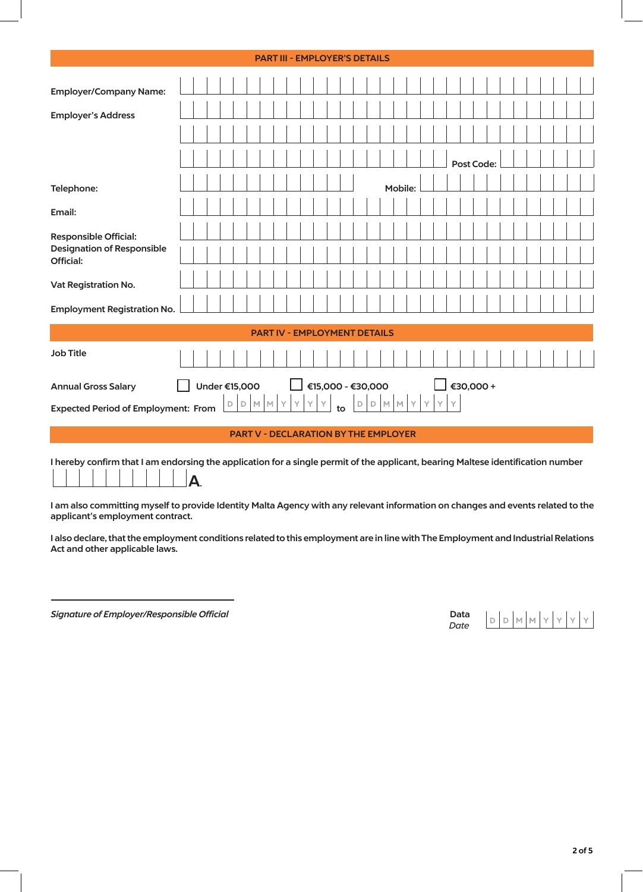|                                                                                                                                  |  |               |                                             | <b>PART III - EMPLOYER'S DETAILS</b> |    |   |              |    |             |                   |         |      |   |              |            |  |  |  |  |
|----------------------------------------------------------------------------------------------------------------------------------|--|---------------|---------------------------------------------|--------------------------------------|----|---|--------------|----|-------------|-------------------|---------|------|---|--------------|------------|--|--|--|--|
| <b>Employer/Company Name:</b>                                                                                                    |  |               |                                             |                                      |    |   |              |    |             |                   |         |      |   |              |            |  |  |  |  |
| <b>Employer's Address</b>                                                                                                        |  |               |                                             |                                      |    |   |              |    |             |                   |         |      |   |              |            |  |  |  |  |
|                                                                                                                                  |  |               |                                             |                                      |    |   |              |    |             |                   |         |      |   |              |            |  |  |  |  |
|                                                                                                                                  |  |               |                                             |                                      |    |   |              |    |             |                   |         |      |   |              | Post Code: |  |  |  |  |
| Telephone:                                                                                                                       |  |               |                                             |                                      |    |   |              |    |             |                   | Mobile: |      |   |              |            |  |  |  |  |
| Email:                                                                                                                           |  |               |                                             |                                      |    |   |              |    |             |                   |         |      |   |              |            |  |  |  |  |
| Responsible Official:                                                                                                            |  |               |                                             |                                      |    |   |              |    |             |                   |         |      |   |              |            |  |  |  |  |
| <b>Designation of Responsible</b><br>Official:                                                                                   |  |               |                                             |                                      |    |   |              |    |             |                   |         |      |   |              |            |  |  |  |  |
| Vat Registration No.                                                                                                             |  |               |                                             |                                      |    |   |              |    |             |                   |         |      |   |              |            |  |  |  |  |
| <b>Employment Registration No.</b>                                                                                               |  |               |                                             |                                      |    |   |              |    |             |                   |         |      |   |              |            |  |  |  |  |
|                                                                                                                                  |  |               |                                             | <b>PART IV - EMPLOYMENT DETAILS</b>  |    |   |              |    |             |                   |         |      |   |              |            |  |  |  |  |
| <b>Job Title</b>                                                                                                                 |  |               |                                             |                                      |    |   |              |    |             |                   |         |      |   |              |            |  |  |  |  |
| <b>Annual Gross Salary</b>                                                                                                       |  | Under €15,000 |                                             |                                      |    |   |              |    |             | €15,000 - €30,000 |         |      |   |              | €30,000+   |  |  |  |  |
| <b>Expected Period of Employment: From</b>                                                                                       |  | D             | D                                           | MMY                                  | Y. | Y | $\mathsf{Y}$ | to | $\mathsf D$ | $\mathbb D$       |         | MMYY | Y | $\mathsf{Y}$ |            |  |  |  |  |
|                                                                                                                                  |  |               | <b>PART V - DECLARATION BY THE EMPLOYER</b> |                                      |    |   |              |    |             |                   |         |      |   |              |            |  |  |  |  |
| I hereby confirm that I am endorsing the application for a single permit of the applicant, bearing Maltese identification number |  |               |                                             |                                      |    |   |              |    |             |                   |         |      |   |              |            |  |  |  |  |

A.

I am also committing myself to provide Identity Malta Agency with any relevant information on changes and events related to the applicant's employment contract.

I also declare, that the employment conditions related to this employment are in line with The Employment and Industrial Relations Act and other applicable laws.

**Signature of Employer/Responsible Official** 

| Data. | D | $\begin{array}{c c c c c c c c c} \hline \multicolumn{3}{c }{\textbf{b}} & \multicolumn{3}{c }{\textbf{M}} & \multicolumn{3}{c }{\textbf{M}} & \multicolumn{3}{c }{\textbf{M}} & \multicolumn{3}{c }{\textbf{M}} & \multicolumn{3}{c }{\textbf{M}} & \multicolumn{3}{c }{\textbf{M}} & \multicolumn{3}{c }{\textbf{M}} & \multicolumn{3}{c }{\textbf{M}} & \multicolumn{3}{c }{\textbf{M}} & \multicolumn{3}{c }{\textbf{M}} & \multicolumn{3}{$ |  |  |  |
|-------|---|--------------------------------------------------------------------------------------------------------------------------------------------------------------------------------------------------------------------------------------------------------------------------------------------------------------------------------------------------------------------------------------------------------------------------------------------------|--|--|--|
| Date  |   |                                                                                                                                                                                                                                                                                                                                                                                                                                                  |  |  |  |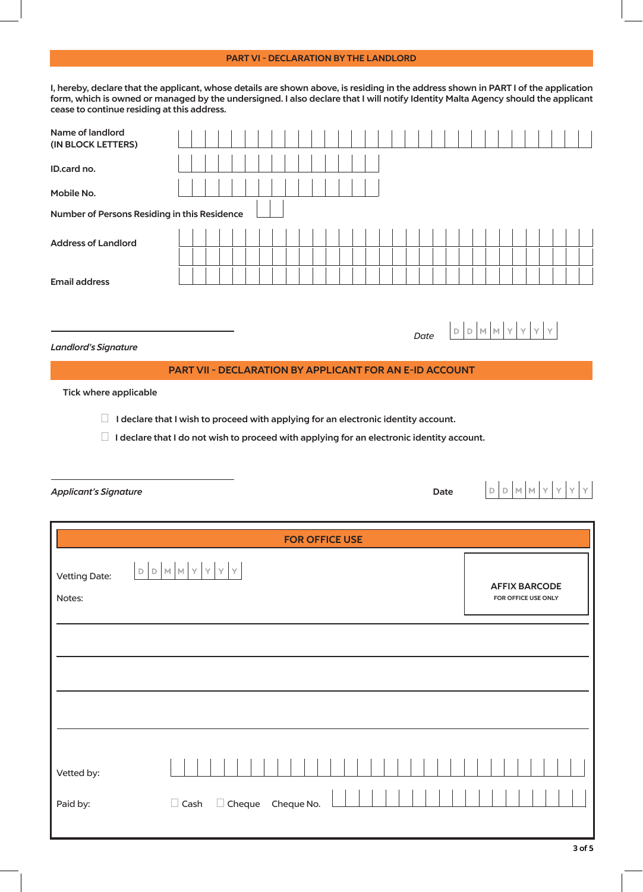## PART VI - DECLARATION BY THE LANDLORD

I, hereby, declare that the applicant, whose details are shown above, is residing in the address shown in PART I of the application form, which is owned or managed by the undersigned. I also declare that I will notify Identity Malta Agency should the applicant cease to continue residing at this address.

| Name of landlord<br>(IN BLOCK LETTERS)                                                           |             |  |  |                          |  |  |  |  |  |                       |  |  |  |  |  |      |      |             |                 |             |   |                      |  |  |
|--------------------------------------------------------------------------------------------------|-------------|--|--|--------------------------|--|--|--|--|--|-----------------------|--|--|--|--|--|------|------|-------------|-----------------|-------------|---|----------------------|--|--|
| ID.card no.                                                                                      |             |  |  |                          |  |  |  |  |  |                       |  |  |  |  |  |      |      |             |                 |             |   |                      |  |  |
| Mobile No.                                                                                       |             |  |  |                          |  |  |  |  |  |                       |  |  |  |  |  |      |      |             |                 |             |   |                      |  |  |
| Number of Persons Residing in this Residence                                                     |             |  |  |                          |  |  |  |  |  |                       |  |  |  |  |  |      |      |             |                 |             |   |                      |  |  |
| <b>Address of Landlord</b>                                                                       |             |  |  |                          |  |  |  |  |  |                       |  |  |  |  |  |      |      |             |                 |             |   |                      |  |  |
|                                                                                                  |             |  |  |                          |  |  |  |  |  |                       |  |  |  |  |  |      |      |             |                 |             |   |                      |  |  |
| <b>Email address</b>                                                                             |             |  |  |                          |  |  |  |  |  |                       |  |  |  |  |  |      |      |             |                 |             |   |                      |  |  |
|                                                                                                  |             |  |  |                          |  |  |  |  |  |                       |  |  |  |  |  |      |      |             |                 |             |   |                      |  |  |
|                                                                                                  |             |  |  |                          |  |  |  |  |  |                       |  |  |  |  |  | Date |      | $\mathbb D$ | $D$ $M$ $M$ $Y$ |             |   |                      |  |  |
| <b>Landlord's Signature</b><br>PART VII - DECLARATION BY APPLICANT FOR AN E-ID ACCOUNT           |             |  |  |                          |  |  |  |  |  |                       |  |  |  |  |  |      |      |             |                 |             |   |                      |  |  |
| <b>Tick where applicable</b>                                                                     |             |  |  |                          |  |  |  |  |  |                       |  |  |  |  |  |      |      |             |                 |             |   |                      |  |  |
| $\Box$<br>I declare that I wish to proceed with applying for an electronic identity account.     |             |  |  |                          |  |  |  |  |  |                       |  |  |  |  |  |      |      |             |                 |             |   |                      |  |  |
| $\Box$ I declare that I do not wish to proceed with applying for an electronic identity account. |             |  |  |                          |  |  |  |  |  |                       |  |  |  |  |  |      |      |             |                 |             |   |                      |  |  |
|                                                                                                  |             |  |  |                          |  |  |  |  |  |                       |  |  |  |  |  |      |      |             |                 |             |   |                      |  |  |
|                                                                                                  |             |  |  |                          |  |  |  |  |  |                       |  |  |  |  |  |      |      |             |                 |             |   |                      |  |  |
| <b>Applicant's Signature</b>                                                                     |             |  |  |                          |  |  |  |  |  |                       |  |  |  |  |  |      | Date |             |                 | $D$ $D$ $M$ | M | Υ                    |  |  |
|                                                                                                  |             |  |  |                          |  |  |  |  |  |                       |  |  |  |  |  |      |      |             |                 |             |   |                      |  |  |
|                                                                                                  |             |  |  |                          |  |  |  |  |  | <b>FOR OFFICE USE</b> |  |  |  |  |  |      |      |             |                 |             |   |                      |  |  |
| D                                                                                                | M           |  |  |                          |  |  |  |  |  |                       |  |  |  |  |  |      |      |             |                 |             |   |                      |  |  |
| $\mathsf D$<br><b>Vetting Date:</b>                                                              |             |  |  |                          |  |  |  |  |  |                       |  |  |  |  |  |      |      |             |                 |             |   | <b>AFFIX BARCODE</b> |  |  |
| Notes:                                                                                           |             |  |  |                          |  |  |  |  |  |                       |  |  |  |  |  |      |      |             |                 |             |   | FOR OFFICE USE ONLY  |  |  |
|                                                                                                  |             |  |  |                          |  |  |  |  |  |                       |  |  |  |  |  |      |      |             |                 |             |   |                      |  |  |
|                                                                                                  |             |  |  |                          |  |  |  |  |  |                       |  |  |  |  |  |      |      |             |                 |             |   |                      |  |  |
|                                                                                                  |             |  |  |                          |  |  |  |  |  |                       |  |  |  |  |  |      |      |             |                 |             |   |                      |  |  |
|                                                                                                  |             |  |  |                          |  |  |  |  |  |                       |  |  |  |  |  |      |      |             |                 |             |   |                      |  |  |
|                                                                                                  |             |  |  |                          |  |  |  |  |  |                       |  |  |  |  |  |      |      |             |                 |             |   |                      |  |  |
|                                                                                                  |             |  |  |                          |  |  |  |  |  |                       |  |  |  |  |  |      |      |             |                 |             |   |                      |  |  |
| Vetted by:                                                                                       |             |  |  |                          |  |  |  |  |  |                       |  |  |  |  |  |      |      |             |                 |             |   |                      |  |  |
| Paid by:                                                                                         | $\Box$ Cash |  |  | $\Box$ Cheque Cheque No. |  |  |  |  |  |                       |  |  |  |  |  |      |      |             |                 |             |   |                      |  |  |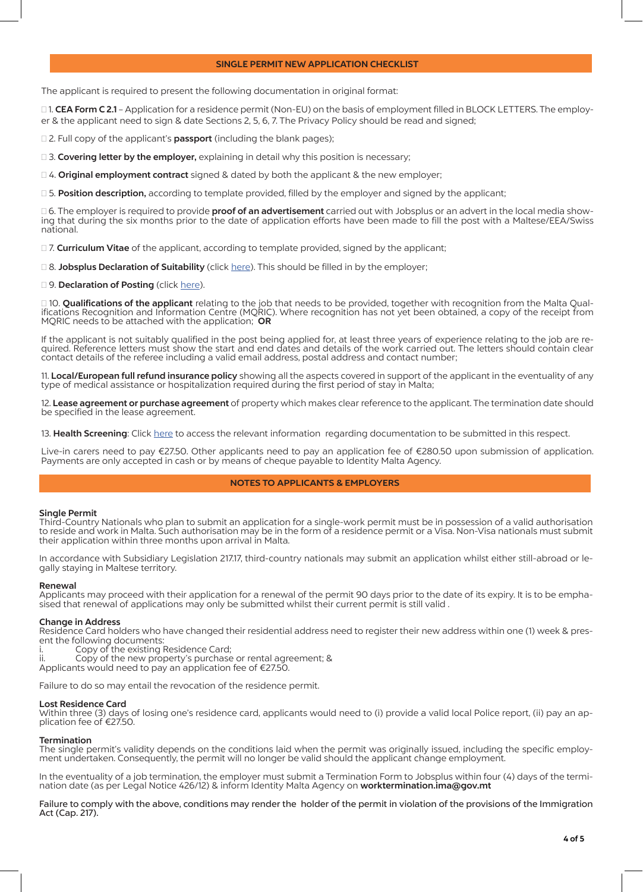## SINGLE PERMIT NEW APPLICATION CHECKLIST

The applicant is required to present the following documentation in original format:

□1. CEA Form C 2.1 – Application for a residence permit (Non-EU) on the basis of employment filled in BLOCK LETTERS. The employer & the applicant need to sign & date Sections 2, 5, 6, 7. The Privacy Policy should be read and signed;

□ 2. Full copy of the applicant's **passport** (including the blank pages);

 $\square$  3. Covering letter by the employer, explaining in detail why this position is necessary;

 $\Box$  4. **Original employment contract** signed & dated by both the applicant & the new employer;

□ 5. Position description, according to template provided, filled by the employer and signed by the applicant;

□ 6. The employer is required to provide **proof of an advertisement** carried out with Jobsplus or an advert in the local media showing that during the six months prior to the date of application efforts have been made to fill the post with a Maltese/EEA/Swiss national.

□ 7. Curriculum Vitae of the applicant, according to template provided, signed by the applicant;

□ 8. Jobsplus Declaration of Suitability (click here). This should be filled in by the employer;

**<sup>9</sup>. Declaration of Posting** (click here).

□ 10. **Qualifications of the applicant** relating to the job that needs to be provided, together with recognition from the Malta Qual-<br>ifications Recognition and Information Centre (MQRIC). Where recognition has not yet be MQRIC needs to be attached with the application; OR

If the applicant is not suitably qualified in the post being applied for, at least three years of experience relating to the job are re-<br>quired. Reference letters must show the start and end dates and details of the work c contact details of the referee including a valid email address, postal address and contact number;

11. Local/European full refund insurance policy showing all the aspects covered in support of the applicant in the eventuality of any type of medical assistance or hospitalization required during the first period of stay in Malta;

12. Lease agreement or purchase agreement of property which makes clear reference to the applicant. The termination date should be specified in the lease agreement.

13. Health Screening: Click here to access the relevant information regarding documentation to be submitted in this respect.

Live-in carers need to pay €27.50. Other applicants need to pay an application fee of €280.50 upon submission of application. Payments are only accepted in cash or by means of cheque payable to Identity Malta Agency.

## NOTES TO APPLICANTS & EMPLOYERS

## Single Permit

Third-Country Nationals who plan to submit an application for a single-work permit must be in possession of a valid authorisation to reside and work in Malta. Such authorisation may be in the form of a residence permit or a Visa. Non-Visa nationals must submit their application within three months upon arrival in Malta.

In accordance with Subsidiary Legislation 217.17, third-country nationals may submit an application whilst either still-abroad or legally staying in Maltese territory.

#### Renewal

Applicants may proceed with their application for a renewal of the permit 90 days prior to the date of its expiry. It is to be emphasised that renewal of applications may only be submitted whilst their current permit is still valid .

## Change in Address

Residence Card holders who have changed their residential address need to register their new address within one (1) week & present the following documents:

- i. Copy of the existing Residence Card;<br>ii. Copy of the new property's purchase
- Copy of the new property's purchase or rental agreement; &
- Applicants would need to pay an application fee of €27.50.

Failure to do so may entail the revocation of the residence permit.

#### Lost Residence Card

Within three (3) days of losing one's residence card, applicants would need to (i) provide a valid local Police report, (ii) pay an application fee of €27.50.

#### Termination

The single permit's validity depends on the conditions laid when the permit was originally issued, including the specific employment undertaken. Consequently, the permit will no longer be valid should the applicant change employment.

In the eventuality of a job termination, the employer must submit a Termination Form to Jobsplus within four (4) days of the termination date (as per Legal Notice 426/12) & inform Identity Malta Agency on worktermination.ima@gov.mt

Failure to comply with the above, conditions may render the holder of the permit in violation of the provisions of the Immigration Act (Cap. 217).